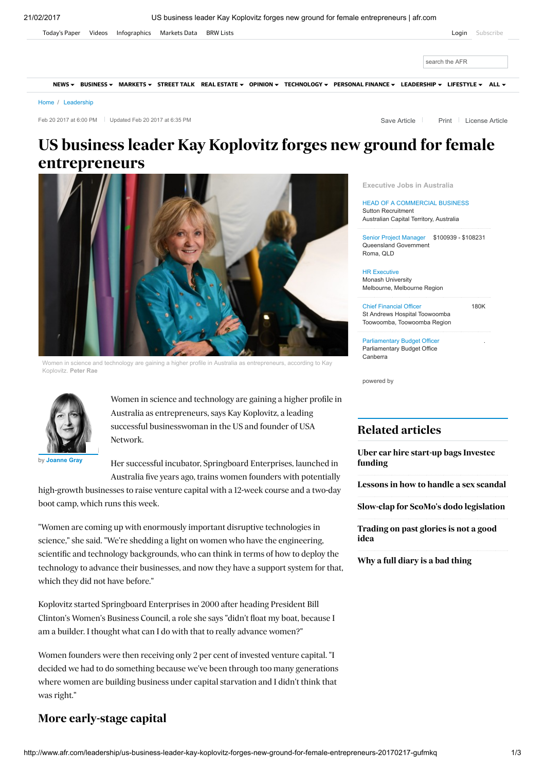

Feb 20 2017 at 6:00 PM Updated Feb 20 2017 at 6:35 PM

Save Article | [Print](javascript:window.print();) | [License](http://rightsportal.copyright.com.au/pages/republicationpage.aspx?publisher=fxj&publication=AFR&author=Joanne%20Gray&title=US+business+leader+Kay+Koplovitz+forges+new+ground+for+female+entrepreneurs&publicationdate=20/02/2017&url=http://www.afr.com/leadership/us-business-leader-kay-koplovitz-forges-new-ground-for-female-entrepreneurs-20170217-gufmkq) Article

# US business leader Kay Koplovitz forges new ground for female entrepreneurs



Women in science and technology are gaining a higher profile in Australia as entrepreneurs, according to Kay Koplovitz. Peter Rae



Women in science and technology are gaining a higher profile in Australia as entrepreneurs, says Kay Koplovitz, a leading successful businesswoman in the US and founder of USA Network.

by [Joanne](http://www.afr.com/leadership/joanne-gray-j7gbt.html) Gray

Her successful incubator, Springboard Enterprises, launched in Australia five years ago, trains women founders with potentially

high-growth businesses to raise venture capital with a 12-week course and a two-day boot camp, which runs this week.

"Women are coming up with enormously important disruptive technologies in science," she said. "We're shedding a light on women who have the engineering, scientific and technology backgrounds, who can think in terms of how to deploy the technology to advance their businesses, and now they have a support system for that, which they did not have before."

Koplovitz started Springboard Enterprises in 2000 after heading President Bill Clinton's Women's Business Council, a role she says "didn't float my boat, because I am a builder. I thought what can I do with that to really advance women?"

Women founders were then receiving only 2 per cent of invested venture capital. "I decided we had to do something because we've been through too many generations where women are building business under capital starvation and I didn't think that was right."

# More early-stage capital

[Executive](https://www.adzuna.com.au/search?loc=105392&utm_source=afr&utm_medium=widget_job_feed) Jobs in Australia

HEAD OF A [COMMERCIAL](https://www.adzuna.com.au/land/ad/504580027?v=92861C9A6D814E3189BF4370CFF60EC5454F7378&se=wTZ6Pl5GR_mR0Qg8jG-QBA&utm_source=afr&utm_medium=widget_job_feed) BUSINESS Sutton Recruitment Australian Capital Territory, Australia

Senior Project Manager \$100939 - \$108231 Queensland [Government](https://www.adzuna.com.au/land/ad/504658479?v=EF86657DB37BBA3B8FC99621244F8DBED256BB84&se=wTZ6Pl5GR_mR0Qg8jG-QBA&utm_source=afr&utm_medium=widget_job_feed) Roma, QLD

HR Executive Monash University [Melbourne,](https://www.adzuna.com.au/land/ad/504579174?v=059465895D7215F808413BEB0847ED16DF43D011&se=wTZ6Pl5GR_mR0Qg8jG-QBA&utm_source=afr&utm_medium=widget_job_feed) Melbourne Region

180K Chief Financial Officer St Andrews Hospital Toowoomba [Toowoomba,](https://www.adzuna.com.au/land/ad/504575150?v=A4A0C0312D1D6FF591B48456B286853C1AB136F7&se=wTZ6Pl5GR_mR0Qg8jG-QBA&utm_source=afr&utm_medium=widget_job_feed) Toowoomba Region

.

[Parliamentary](https://www.adzuna.com.au/land/ad/504604730?v=CAAB7CAABD57D74C9B8E537D081BC4A1960DE456&se=wTZ6Pl5GR_mR0Qg8jG-QBA&utm_source=afr&utm_medium=widget_job_feed) Budget Officer Parliamentary Budget Office Canberra

powered by

# Related articles

Uber car hire start-up bags [Investec](http://www.afr.com/technology/apps/uber-car-hire-company-splend-thinks-global-after-10-per-cent-investec-investment-20170215-gudpjm) funding

[Lessons](http://www.afr.com/business/media-and-marketing/for-tim-worner-lessons-in-how-to-handle-a-sex-scandal-20170215-gudxu0) in how to handle a sex scandal

Slow-clap for ScoMo's dodo [legislation](http://www.afr.com/technology/slowclap-for-scomos-dodo-equity-crowdfunding-legislation-that-is-already-extinct-20170217-gufkih)

[Trading](http://www.afr.com/leadership/trading-on-past-career-glories-should-be-made-history-20170220-gugniy) on past glories is not a good idea

Why a full [diary](http://www.afr.com/leadership/entrepreneur/why-meetings-are-killing-innovation-20170219-gugmgn) is a bad thing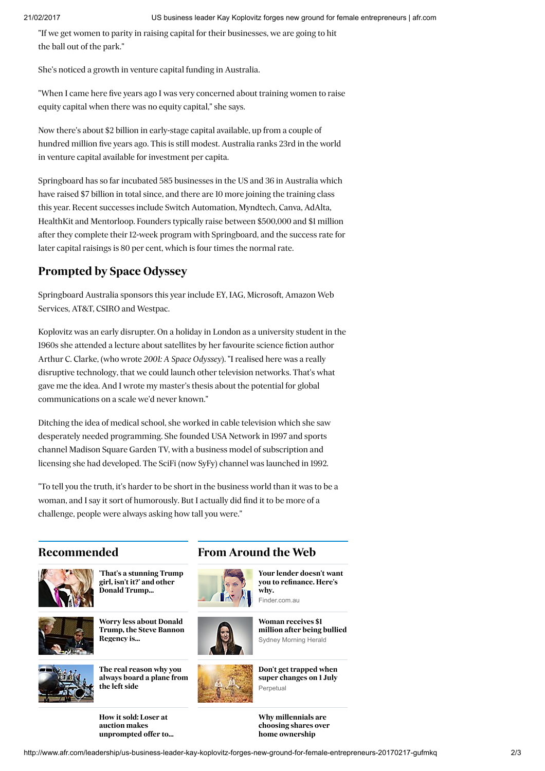"If we get women to parity in raising capital for their businesses, we are going to hit the ball out of the park."

She's noticed a growth in venture capital funding in Australia.

"When I came here five years ago I was very concerned about training women to raise equity capital when there was no equity capital," she says.

Now there's about \$2 billion in early-stage capital available, up from a couple of hundred million five years ago. This is still modest. Australia ranks 23rd in the world in venture capital available for investment per capita.

Springboard has so far incubated 585 businesses in the US and 36 in Australia which have raised \$7 billion in total since, and there are 10 more joining the training class this year. Recent successes include Switch Automation, Myndtech, Canva, AdAlta, HealthKit and Mentorloop. Founders typically raise between \$500,000 and \$1 million after they complete their 12-week program with Springboard, and the success rate for later capital raisings is 80 per cent, which is four times the normal rate.

# Prompted by Space Odyssey

Springboard Australia sponsors this year include EY, IAG, Microsoft, Amazon Web Services, AT&T, CSIRO and Westpac.

Koplovitz was an early disrupter. On a holiday in London as a university student in the 1960s she attended a lecture about satellites by her favourite science fiction author Arthur C. Clarke, (who wrote 2001: A Space Odyssey). "I realised here was a really disruptive technology, that we could launch other television networks. That's what gave me the idea. And I wrote my master's thesis about the potential for global communications on a scale we'd never known."

Ditching the idea of medical school, she worked in cable television which she saw desperately needed programming. She founded USA Network in 1997 and sports channel Madison Square Garden TV, with a business model of subscription and licensing she had developed. The SciFi (now SyFy) channel was launched in 1992.

"To tell you the truth, it's harder to be short in the business world than it was to be a woman, and I say it sort of humorously. But I actually did find it to be more of a challenge, people were always asking how tall you were."

# Recommended **From Around the Web**



'That's a [stunning](http://www.afr.com/world/us-election/crossing-the-line-donald-trumps-private-treatment-of-women-20160515-govv0k) Trump girl, isn't it?' and other Donald Trump…



Worry less about Donald Trump, the Steve [Bannon](http://www.afr.com/opinion/columnists/worry-less-about-donald-trump-the-steve-bannon-regency-is-problem-20170131-gu2tbq) Regency is…



The real [reason](http://www.afr.com/business/transport/aviation/why-do-passengers-always-board-planes-from-the-left-side-20170124-gty61f) why you always board a plane from



Don't get trapped when super [changes](https://www.perpetual.com.au/pp/super?utm_source=outbrain&utm_medium=native&utm_content=super-landing&utm_campaign=super) on 1 July Perpetual

Woman [receives](https://ad.doubleclick.net/ddm/clk/313564661;141332642;w) \$1 million after being bullied Sydney Morning Herald

Your lender doesn't want you to [refinance.](https://www.finder.com.au/home-loans/refinancing-home-loans?utm_term=003df94f1e52925512d02965f0f9702bac:dwnthwhy:shkwman&utm_source=outbrain_display_hl-package&utm_medium=display&utm_campaign=Outbrain|FHL+-+Refinancing+(D)(T)&utm_content=/home-loans/refinancing-home-loans) Here's

why. Finder.com.au

How it sold: Loser at auction makes [unprompted](http://www.afr.com/real-estate/how-it-sold-loser-at-auction-makes-unprompted-offer-to-neighbour--who-sells-20170205-gu65lu) offer to…

the left side